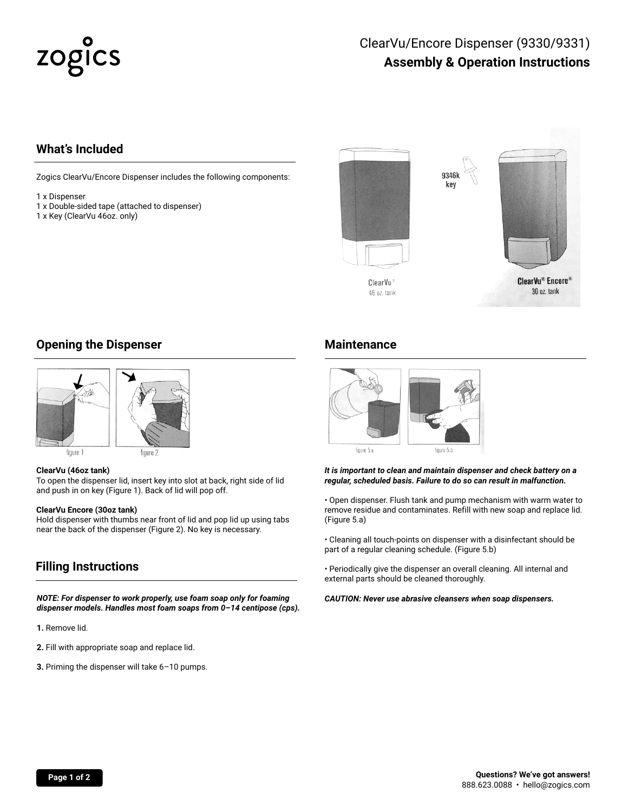# zogics

### ClearVu/Encore Dispenser (9330/9331) **Assembly & Operation Instructions**

#### **What's Included**

Zogics ClearVu/Encore Dispenser includes the following components:

- 1 x Dispenser
- 1 x Double-sided tape (attached to dispenser)
- 1 x Key (ClearVu 46oz. only)



#### **Opening the Dispenser**



figure 1

#### **ClearVu (46oz tank)**

To open the dispenser lid, insert key into slot at back, right side of lid and push in on key (Figure 1). Back of lid will pop off.

#### **ClearVu Encore (30oz tank)**

Hold dispenser with thumbs near front of lid and pop lid up using tabs near the back of the dispenser (Figure 2). No key is necessary.

#### **Filling Instructions**

*NOTE: For dispenser to work properly, use foam soap only for foaming dispenser models. Handles most foam soaps from 0–14 centipose (cps).*

**1.** Remove lid.

- **2.** Fill with appropriate soap and replace lid.
- **3.** Priming the dispenser will take 6–10 pumps.

#### **Maintenance**



*It is important to clean and maintain dispenser and check battery on a regular, scheduled basis. Failure to do so can result in malfunction.*

• Open dispenser. Flush tank and pump mechanism with warm water to remove residue and contaminates. Refill with new soap and replace lid. (Figure 5.a)

• Cleaning all touch-points on dispenser with a disinfectant should be part of a regular cleaning schedule. (Figure 5.b)

• Periodically give the dispenser an overall cleaning. All internal and external parts should be cleaned thoroughly.

*CAUTION: Never use abrasive cleansers when soap dispensers.*